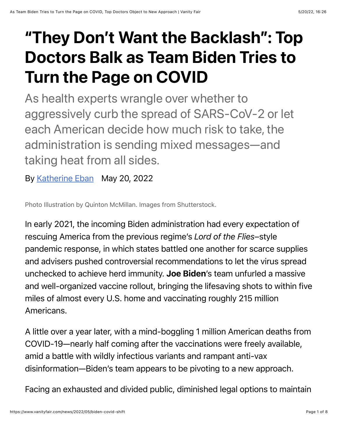## "They Don't Want the Backlash": Top Doctors Balk as Team Biden Tries to Turn the Page on COVID

As health experts wrangle over whether to aggressively curb the spread of SARS-CoV-2 or let each American decide how much risk to take, the administration is sending mixed messages—and taking heat from all sides.

By [Katherine Eban](https://www.vanityfair.com/contributor/katherine-eban) May 20, 2022

Photo Illustration by Quinton McMillan. Images from Shutterstock.

In early 2021, the incoming Biden administration had every expectation of rescuing America from the previous regime's *Lord of the Flies*–style pandemic response, in which states battled one another for scarce supplies and advisers pushed controversial recommendations to let the virus spread unchecked to achieve herd immunity. Joe Biden's team unfurled a massive and well-organized vaccine rollout, bringing the lifesaving shots to within five miles of almost every U.S. home and vaccinating roughly 215 million Americans.

A little over a year later, with a mind-boggling 1 million American deaths from COVID-19—nearly half coming after the vaccinations were freely available, amid a battle with wildly infectious variants and rampant anti-vax disinformation—Biden's team appears to be pivoting to a new approach.

Facing an exhausted and divided public, diminished legal options to maintain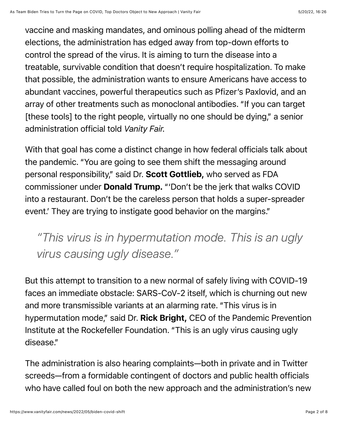vaccine and masking mandates, and ominous polling ahead of the midterm elections, the administration has edged away from top-down efforts to control the spread of the virus. It is aiming to turn the disease into a treatable, survivable condition that doesn't require hospitalization. To make that possible, the administration wants to ensure Americans have access to abundant vaccines, powerful therapeutics such as Pfizer's Paxlovid, and an array of other treatments such as monoclonal antibodies. "If you can target [these tools] to the right people, virtually no one should be dying," a senior administration official told *Vanity Fair.*

With that goal has come a distinct change in how federal officials talk about the pandemic. "You are going to see them shift the messaging around personal responsibility," said Dr. Scott Gottlieb, who served as FDA commissioner under Donald Trump. "'Don't be the jerk that walks COVID into a restaurant. Don't be the careless person that holds a super-spreader event.' They are trying to instigate good behavior on the margins."

*"This virus is in hypermutation mode. This is an ugly virus causing ugly disease."*

But this attempt to transition to a new normal of safely living with COVID-19 faces an immediate obstacle: SARS-CoV-2 itself, which is churning out new and more transmissible variants at an alarming rate. "This virus is in hypermutation mode," said Dr. Rick Bright, CEO of the Pandemic Prevention Institute at the Rockefeller Foundation. "This is an ugly virus causing ugly disease."

The administration is also hearing complaints—both in private and in Twitter screeds—from a formidable contingent of doctors and public health officials who have called foul on both the new approach and the administration's new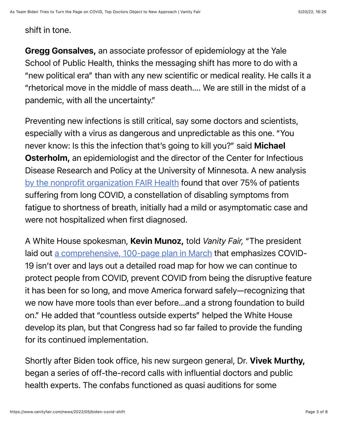## shift in tone.

Gregg Gonsalves, an associate professor of epidemiology at the Yale School of Public Health, thinks the messaging shift has more to do with a "new political era" than with any new scientific or medical reality. He calls it a "rhetorical move in the middle of mass death…. We are still in the midst of a pandemic, with all the uncertainty."

Preventing new infections is still critical, say some doctors and scientists, especially with a virus as dangerous and unpredictable as this one. "You never know: Is this the infection that's going to kill you?" said Michael Osterholm, an epidemiologist and the director of the Center for Infectious Disease Research and Policy at the University of Minnesota. A new analysis [by the nonprofit organization FAIR Health](https://s3.amazonaws.com/media2.fairhealth.org/whitepaper/asset/Patients%20Diagnosed%20with%20Post-COVID%20Conditions%20-%20A%20FAIR%20Health%20White%20Paper.pdf) found that over 75% of patients suffering from long COVID, a constellation of disabling symptoms from fatigue to shortness of breath, initially had a mild or asymptomatic case and were not hospitalized when first diagnosed.

A White House spokesman, Kevin Munoz, told *Vanity Fair,* "The president laid out [a comprehensive, 100-page plan in March](https://www.whitehouse.gov/wp-content/uploads/2022/03/NAT-COVID-19-PREPAREDNESS-PLAN.pdf) that emphasizes COVID-19 isn't over and lays out a detailed road map for how we can continue to protect people from COVID, prevent COVID from being the disruptive feature it has been for so long, and move America forward safely—recognizing that we now have more tools than ever before…and a strong foundation to build on." He added that "countless outside experts" helped the White House develop its plan, but that Congress had so far failed to provide the funding for its continued implementation.

Shortly after Biden took office, his new surgeon general, Dr. Vivek Murthy, began a series of off-the-record calls with influential doctors and public health experts. The confabs functioned as quasi auditions for some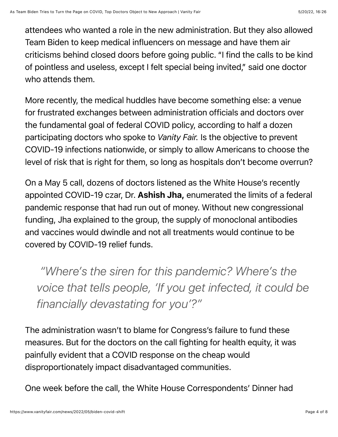attendees who wanted a role in the new administration. But they also allowed Team Biden to keep medical influencers on message and have them air criticisms behind closed doors before going public. "I find the calls to be kind of pointless and useless, except I felt special being invited," said one doctor who attends them.

More recently, the medical huddles have become something else: a venue for frustrated exchanges between administration officials and doctors over the fundamental goal of federal COVID policy, according to half a dozen participating doctors who spoke to *Vanity Fair.* Is the objective to prevent COVID-19 infections nationwide, or simply to allow Americans to choose the level of risk that is right for them, so long as hospitals don't become overrun?

On a May 5 call, dozens of doctors listened as the White House's recently appointed COVID-19 czar, Dr. Ashish Jha, enumerated the limits of a federal pandemic response that had run out of money. Without new congressional funding, Jha explained to the group, the supply of monoclonal antibodies and vaccines would dwindle and not all treatments would continue to be covered by COVID-19 relief funds.

 *"Where's the siren for this pandemic? Where's the voice that tells people, 'If you get infected, it could be financially devastating for you'?"*

The administration wasn't to blame for Congress's failure to fund these measures. But for the doctors on the call fighting for health equity, it was painfully evident that a COVID response on the cheap would disproportionately impact disadvantaged communities.

One week before the call, the White House Correspondents' Dinner had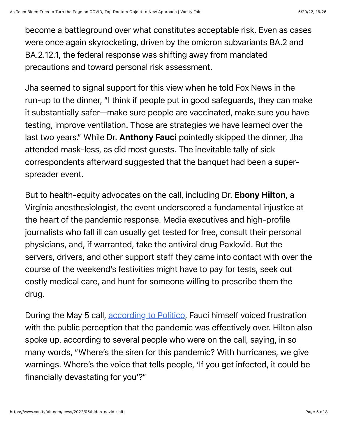become a battleground over what constitutes acceptable risk. Even as cases were once again skyrocketing, driven by the omicron subvariants BA.2 and BA.2.12.1, the federal response was shifting away from mandated precautions and toward personal risk assessment.

Jha seemed to signal support for this view when he told Fox News in the run-up to the dinner, "I think if people put in good safeguards, they can make it substantially safer—make sure people are vaccinated, make sure you have testing, improve ventilation. Those are strategies we have learned over the last two years." While Dr. **Anthony Fauci** pointedly skipped the dinner, Jha attended mask-less, as did most guests. The inevitable tally of sick correspondents afterward suggested that the banquet had been a superspreader event.

But to health-equity advocates on the call, including Dr. Ebony Hilton, a Virginia anesthesiologist, the event underscored a fundamental injustice at the heart of the pandemic response. Media executives and high-profile journalists who fall ill can usually get tested for free, consult their personal physicians, and, if warranted, take the antiviral drug Paxlovid. But the servers, drivers, and other support staff they came into contact with over the course of the weekend's festivities might have to pay for tests, seek out costly medical care, and hunt for someone willing to prescribe them the drug.

During the May 5 call, [according to Politico](https://www.politico.com/news/2022/05/06/fauci-correspondents-dinner-covid-message-00030767), Fauci himself voiced frustration with the public perception that the pandemic was effectively over. Hilton also spoke up, according to several people who were on the call, saying, in so many words, "Where's the siren for this pandemic? With hurricanes, we give warnings. Where's the voice that tells people, 'If you get infected, it could be financially devastating for you'?"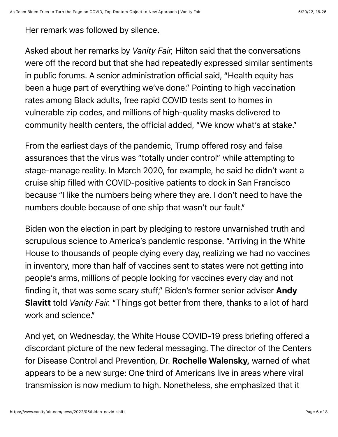Her remark was followed by silence.

Asked about her remarks by *Vanity Fair,* Hilton said that the conversations were off the record but that she had repeatedly expressed similar sentiments in public forums. A senior administration official said, "Health equity has been a huge part of everything we've done." Pointing to high vaccination rates among Black adults, free rapid COVID tests sent to homes in vulnerable zip codes, and millions of high-quality masks delivered to community health centers, the official added, "We know what's at stake."

From the earliest days of the pandemic, Trump offered rosy and false assurances that the virus was "totally under control" while attempting to stage-manage reality. In March 2020, for example, he said he didn't want a cruise ship filled with COVID-positive patients to dock in San Francisco because "I like the numbers being where they are. I don't need to have the numbers double because of one ship that wasn't our fault."

Biden won the election in part by pledging to restore unvarnished truth and scrupulous science to America's pandemic response. "Arriving in the White House to thousands of people dying every day, realizing we had no vaccines in inventory, more than half of vaccines sent to states were not getting into people's arms, millions of people looking for vaccines every day and not finding it, that was some scary stuff," Biden's former senior adviser Andy Slavitt told *Vanity Fair.* "Things got better from there, thanks to a lot of hard work and science."

And yet, on Wednesday, the White House COVID-19 press briefing offered a discordant picture of the new federal messaging. The director of the Centers for Disease Control and Prevention, Dr. Rochelle Walensky, warned of what appears to be a new surge: One third of Americans live in areas where viral transmission is now medium to high. Nonetheless, she emphasized that it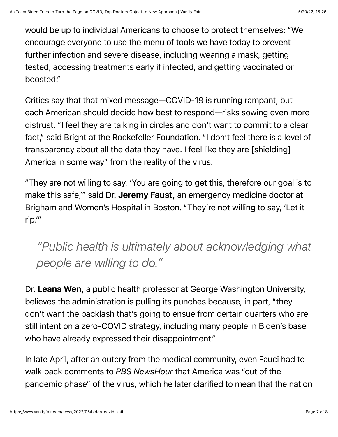would be up to individual Americans to choose to protect themselves: "We encourage everyone to use the menu of tools we have today to prevent further infection and severe disease, including wearing a mask, getting tested, accessing treatments early if infected, and getting vaccinated or boosted."

Critics say that that mixed message—COVID-19 is running rampant, but each American should decide how best to respond—risks sowing even more distrust. "I feel they are talking in circles and don't want to commit to a clear fact," said Bright at the Rockefeller Foundation. "I don't feel there is a level of transparency about all the data they have. I feel like they are [shielding] America in some way" from the reality of the virus.

"They are not willing to say, 'You are going to get this, therefore our goal is to make this safe," said Dr. Jeremy Faust, an emergency medicine doctor at Brigham and Women's Hospital in Boston. "They're not willing to say, 'Let it rip.'"

## *"Public health is ultimately about acknowledging what people are willing to do."*

Dr. Leana Wen, a public health professor at George Washington University, believes the administration is pulling its punches because, in part, "they don't want the backlash that's going to ensue from certain quarters who are still intent on a zero-COVID strategy, including many people in Biden's base who have already expressed their disappointment."

In late April, after an outcry from the medical community, even Fauci had to walk back comments to *PBS NewsHour* that America was "out of the pandemic phase" of the virus, which he later clarified to mean that the nation